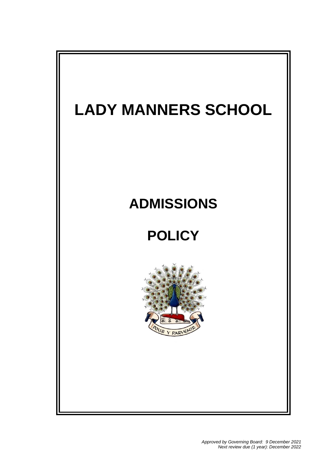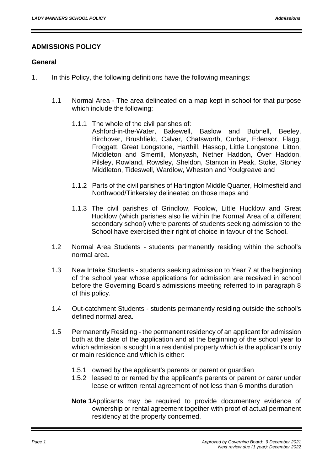## **ADMISSIONS POLICY**

#### **General**

- 1. In this Policy, the following definitions have the following meanings:
	- 1.1 Normal Area The area delineated on a map kept in school for that purpose which include the following:
		- 1.1.1 The whole of the civil parishes of: Ashford-in-the-Water, Bakewell, Baslow and Bubnell, Beeley, Birchover, Brushfield, Calver, Chatsworth, Curbar, Edensor, Flagg, Froggatt, Great Longstone, Harthill, Hassop, Little Longstone, Litton, Middleton and Smerrill, Monyash, Nether Haddon, Over Haddon, Pilsley, Rowland, Rowsley, Sheldon, Stanton in Peak, Stoke, Stoney Middleton, Tideswell, Wardlow, Wheston and Youlgreave and
		- 1.1.2 Parts of the civil parishes of Hartington Middle Quarter, Holmesfield and Northwood/Tinkersley delineated on those maps and
		- 1.1.3 The civil parishes of Grindlow, Foolow, Little Hucklow and Great Hucklow (which parishes also lie within the Normal Area of a different secondary school) where parents of students seeking admission to the School have exercised their right of choice in favour of the School.
	- 1.2 Normal Area Students students permanently residing within the school's normal area.
	- 1.3 New Intake Students students seeking admission to Year 7 at the beginning of the school year whose applications for admission are received in school before the Governing Board's admissions meeting referred to in paragraph 8 of this policy.
	- 1.4 Out-catchment Students students permanently residing outside the school's defined normal area.
	- 1.5 Permanently Residing the permanent residency of an applicant for admission both at the date of the application and at the beginning of the school year to which admission is sought in a residential property which is the applicant's only or main residence and which is either:
		- 1.5.1 owned by the applicant's parents or parent or guardian
		- 1.5.2 leased to or rented by the applicant's parents or parent or carer under lease or written rental agreement of not less than 6 months duration
		- **Note 1**Applicants may be required to provide documentary evidence of ownership or rental agreement together with proof of actual permanent residency at the property concerned.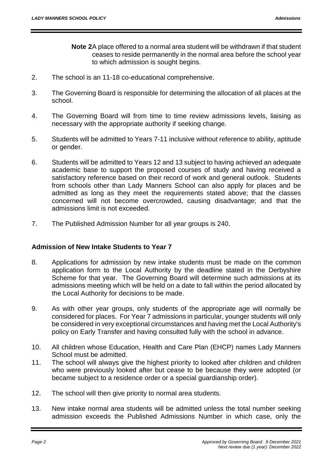- **Note 2**A place offered to a normal area student will be withdrawn if that student ceases to reside permanently in the normal area before the school year to which admission is sought begins.
- 2. The school is an 11-18 co-educational comprehensive.
- 3. The Governing Board is responsible for determining the allocation of all places at the school.
- 4. The Governing Board will from time to time review admissions levels, liaising as necessary with the appropriate authority if seeking change.
- 5. Students will be admitted to Years 7-11 inclusive without reference to ability, aptitude or gender.
- 6. Students will be admitted to Years 12 and 13 subject to having achieved an adequate academic base to support the proposed courses of study and having received a satisfactory reference based on their record of work and general outlook. Students from schools other than Lady Manners School can also apply for places and be admitted as long as they meet the requirements stated above; that the classes concerned will not become overcrowded, causing disadvantage; and that the admissions limit is not exceeded.
- 7. The Published Admission Number for all year groups is 240.

## **Admission of New Intake Students to Year 7**

- 8. Applications for admission by new intake students must be made on the common application form to the Local Authority by the deadline stated in the Derbyshire Scheme for that year. The Governing Board will determine such admissions at its admissions meeting which will be held on a date to fall within the period allocated by the Local Authority for decisions to be made.
- 9. As with other year groups, only students of the appropriate age will normally be considered for places. For Year 7 admissions in particular, younger students will only be considered in very exceptional circumstances and having met the Local Authority's policy on Early Transfer and having consulted fully with the school in advance.
- 10. All children whose Education, Health and Care Plan (EHCP) names Lady Manners School must be admitted.
- 11. The school will always give the highest priority to looked after children and children who were previously looked after but cease to be because they were adopted (or became subject to a residence order or a special guardianship order).
- 12. The school will then give priority to normal area students.
- 13. New intake normal area students will be admitted unless the total number seeking admission exceeds the Published Admissions Number in which case, only the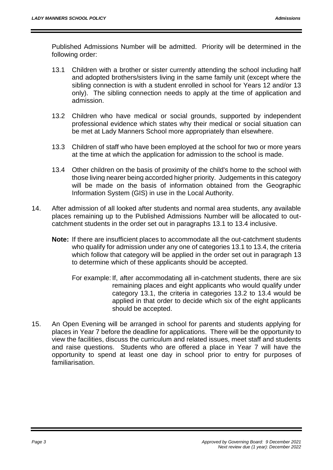Published Admissions Number will be admitted. Priority will be determined in the following order:

- 13.1 Children with a brother or sister currently attending the school including half and adopted brothers/sisters living in the same family unit (except where the sibling connection is with a student enrolled in school for Years 12 and/or 13 only). The sibling connection needs to apply at the time of application and admission.
- 13.2 Children who have medical or social grounds, supported by independent professional evidence which states why their medical or social situation can be met at Lady Manners School more appropriately than elsewhere.
- 13.3 Children of staff who have been employed at the school for two or more years at the time at which the application for admission to the school is made.
- 13.4 Other children on the basis of proximity of the child's home to the school with those living nearer being accorded higher priority. Judgements in this category will be made on the basis of information obtained from the Geographic Information System (GIS) in use in the Local Authority.
- 14. After admission of all looked after students and normal area students, any available places remaining up to the Published Admissions Number will be allocated to outcatchment students in the order set out in paragraphs 13.1 to 13.4 inclusive.
	- **Note:** If there are insufficient places to accommodate all the out-catchment students who qualify for admission under any one of categories 13.1 to 13.4, the criteria which follow that category will be applied in the order set out in paragraph 13 to determine which of these applicants should be accepted.
		- For example: If, after accommodating all in-catchment students, there are six remaining places and eight applicants who would qualify under category 13.1, the criteria in categories 13.2 to 13.4 would be applied in that order to decide which six of the eight applicants should be accepted.
- 15. An Open Evening will be arranged in school for parents and students applying for places in Year 7 before the deadline for applications. There will be the opportunity to view the facilities, discuss the curriculum and related issues, meet staff and students and raise questions. Students who are offered a place in Year 7 will have the opportunity to spend at least one day in school prior to entry for purposes of familiarisation.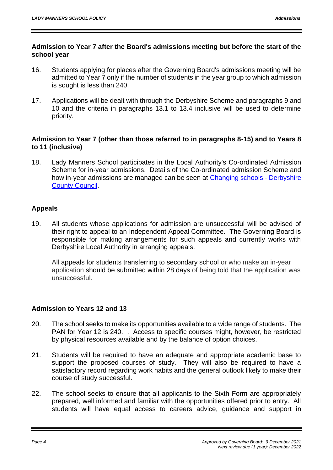#### **Admission to Year 7 after the Board's admissions meeting but before the start of the school year**

- 16. Students applying for places after the Governing Board's admissions meeting will be admitted to Year 7 only if the number of students in the year group to which admission is sought is less than 240.
- 17. Applications will be dealt with through the Derbyshire Scheme and paragraphs 9 and 10 and the criteria in paragraphs 13.1 to 13.4 inclusive will be used to determine priority.

#### **Admission to Year 7 (other than those referred to in paragraphs 8-15) and to Years 8 to 11 (inclusive)**

18. Lady Manners School participates in the Local Authority's Co-ordinated Admission Scheme for in-year admissions. Details of the Co-ordinated admission Scheme and how in-year admissions are managed can be seen at [Changing schools -](https://www.derbyshire.gov.uk/education/schools/school-places/changing-schools/changing-schools.aspx) Derbyshire [County Council.](https://www.derbyshire.gov.uk/education/schools/school-places/changing-schools/changing-schools.aspx)

# **Appeals**

19. All students whose applications for admission are unsuccessful will be advised of their right to appeal to an Independent Appeal Committee. The Governing Board is responsible for making arrangements for such appeals and currently works with Derbyshire Local Authority in arranging appeals.

All appeals for students transferring to secondary school or who make an in-year application should be submitted within 28 days of being told that the application was unsuccessful.

## **Admission to Years 12 and 13**

- 20. The school seeks to make its opportunities available to a wide range of students. The PAN for Year 12 is 240. . Access to specific courses might, however, be restricted by physical resources available and by the balance of option choices.
- 21. Students will be required to have an adequate and appropriate academic base to support the proposed courses of study. They will also be required to have a satisfactory record regarding work habits and the general outlook likely to make their course of study successful.
- 22. The school seeks to ensure that all applicants to the Sixth Form are appropriately prepared, well informed and familiar with the opportunities offered prior to entry. All students will have equal access to careers advice, guidance and support in